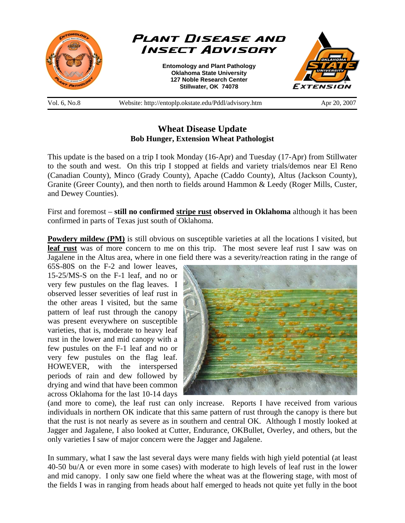

# **Wheat Disease Update Bob Hunger, Extension Wheat Pathologist**

This update is the based on a trip I took Monday (16-Apr) and Tuesday (17-Apr) from Stillwater to the south and west. On this trip I stopped at fields and variety trials/demos near El Reno (Canadian County), Minco (Grady County), Apache (Caddo County), Altus (Jackson County), Granite (Greer County), and then north to fields around Hammon & Leedy (Roger Mills, Custer, and Dewey Counties).

First and foremost – **still no confirmed stripe rust observed in Oklahoma** although it has been confirmed in parts of Texas just south of Oklahoma.

**Powdery mildew (PM)** is still obvious on susceptible varieties at all the locations I visited, but **leaf rust** was of more concern to me on this trip. The most severe leaf rust I saw was on Jagalene in the Altus area, where in one field there was a severity/reaction rating in the range of

65S-80S on the F-2 and lower leaves, 15-25/MS-S on the F-1 leaf, and no or very few pustules on the flag leaves. I observed lesser severities of leaf rust in the other areas I visited, but the same pattern of leaf rust through the canopy was present everywhere on susceptible varieties, that is, moderate to heavy leaf rust in the lower and mid canopy with a few pustules on the F-1 leaf and no or very few pustules on the flag leaf. HOWEVER, with the interspersed periods of rain and dew followed by drying and wind that have been common across Oklahoma for the last 10-14 days



(and more to come), the leaf rust can only increase. Reports I have received from various individuals in northern OK indicate that this same pattern of rust through the canopy is there but that the rust is not nearly as severe as in southern and central OK. Although I mostly looked at Jagger and Jagalene, I also looked at Cutter, Endurance, OKBullet, Overley, and others, but the only varieties I saw of major concern were the Jagger and Jagalene.

In summary, what I saw the last several days were many fields with high yield potential (at least 40-50 bu/A or even more in some cases) with moderate to high levels of leaf rust in the lower and mid canopy. I only saw one field where the wheat was at the flowering stage, with most of the fields I was in ranging from heads about half emerged to heads not quite yet fully in the boot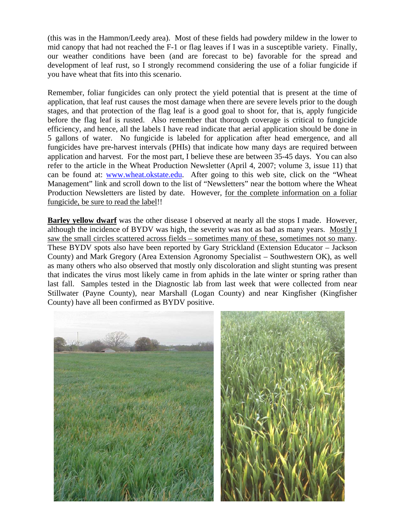(this was in the Hammon/Leedy area). Most of these fields had powdery mildew in the lower to mid canopy that had not reached the F-1 or flag leaves if I was in a susceptible variety. Finally, our weather conditions have been (and are forecast to be) favorable for the spread and development of leaf rust, so I strongly recommend considering the use of a foliar fungicide if you have wheat that fits into this scenario.

Remember, foliar fungicides can only protect the yield potential that is present at the time of application, that leaf rust causes the most damage when there are severe levels prior to the dough stages, and that protection of the flag leaf is a good goal to shoot for, that is, apply fungicide before the flag leaf is rusted. Also remember that thorough coverage is critical to fungicide efficiency, and hence, all the labels I have read indicate that aerial application should be done in 5 gallons of water. No fungicide is labeled for application after head emergence, and all fungicides have pre-harvest intervals (PHIs) that indicate how many days are required between application and harvest. For the most part, I believe these are between 35-45 days. You can also refer to the article in the Wheat Production Newsletter (April 4, 2007; volume 3, issue 11) that can be found at: www.wheat.okstate.edu. After going to this web site, click on the "Wheat Management" link and scroll down to the list of "Newsletters" near the bottom where the Wheat Production Newsletters are listed by date. However, for the complete information on a foliar fungicide, be sure to read the label!!

**Barley yellow dwarf** was the other disease I observed at nearly all the stops I made. However, although the incidence of BYDV was high, the severity was not as bad as many years. Mostly I saw the small circles scattered across fields – sometimes many of these, sometimes not so many. These BYDV spots also have been reported by Gary Strickland (Extension Educator – Jackson County) and Mark Gregory (Area Extension Agronomy Specialist – Southwestern OK), as well as many others who also observed that mostly only discoloration and slight stunting was present that indicates the virus most likely came in from aphids in the late winter or spring rather than last fall. Samples tested in the Diagnostic lab from last week that were collected from near Stillwater (Payne County), near Marshall (Logan County) and near Kingfisher (Kingfisher County) have all been confirmed as BYDV positive.

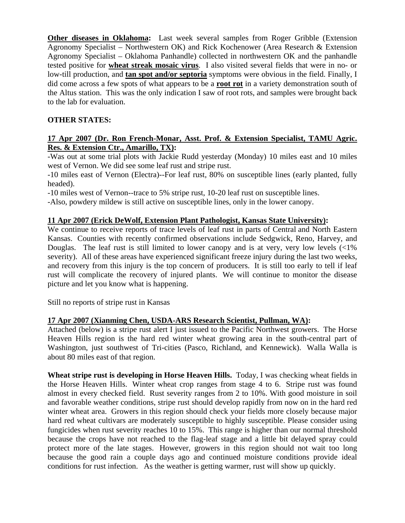**Other diseases in Oklahoma:** Last week several samples from Roger Gribble (Extension Agronomy Specialist – Northwestern OK) and Rick Kochenower (Area Research & Extension Agronomy Specialist – Oklahoma Panhandle) collected in northwestern OK and the panhandle tested positive for **wheat streak mosaic virus**. I also visited several fields that were in no- or low-till production, and **tan spot and/or septoria** symptoms were obvious in the field. Finally, I did come across a few spots of what appears to be a **root rot** in a variety demonstration south of the Altus station. This was the only indication I saw of root rots, and samples were brought back to the lab for evaluation.

## **OTHER STATES:**

### **17 Apr 2007 (Dr. Ron French-Monar, Asst. Prof. & Extension Specialist, TAMU Agric. Res. & Extension Ctr., Amarillo, TX):**

-Was out at some trial plots with Jackie Rudd yesterday (Monday) 10 miles east and 10 miles west of Vernon. We did see some leaf rust and stripe rust.

-10 miles east of Vernon (Electra)--For leaf rust, 80% on susceptible lines (early planted, fully headed).

-10 miles west of Vernon--trace to 5% stripe rust, 10-20 leaf rust on susceptible lines.

-Also, powdery mildew is still active on susceptible lines, only in the lower canopy.

### **11 Apr 2007 (Erick DeWolf, Extension Plant Pathologist, Kansas State University):**

We continue to receive reports of trace levels of leaf rust in parts of Central and North Eastern Kansas. Counties with recently confirmed observations include Sedgwick, Reno, Harvey, and Douglas. The leaf rust is still limited to lower canopy and is at very, very low levels  $\langle$ <1% severity). All of these areas have experienced significant freeze injury during the last two weeks, and recovery from this injury is the top concern of producers. It is still too early to tell if leaf rust will complicate the recovery of injured plants. We will continue to monitor the disease picture and let you know what is happening.

Still no reports of stripe rust in Kansas

### **17 Apr 2007 (Xianming Chen, USDA-ARS Research Scientist, Pullman, WA):**

Attached (below) is a stripe rust alert I just issued to the Pacific Northwest growers. The Horse Heaven Hills region is the hard red winter wheat growing area in the south-central part of Washington, just southwest of Tri-cities (Pasco, Richland, and Kennewick). Walla Walla is about 80 miles east of that region.

**Wheat stripe rust is developing in Horse Heaven Hills.** Today, I was checking wheat fields in the Horse Heaven Hills. Winter wheat crop ranges from stage 4 to 6. Stripe rust was found almost in every checked field. Rust severity ranges from 2 to 10%. With good moisture in soil and favorable weather conditions, stripe rust should develop rapidly from now on in the hard red winter wheat area. Growers in this region should check your fields more closely because major hard red wheat cultivars are moderately susceptible to highly susceptible. Please consider using fungicides when rust severity reaches 10 to 15%. This range is higher than our normal threshold because the crops have not reached to the flag-leaf stage and a little bit delayed spray could protect more of the late stages. However, growers in this region should not wait too long because the good rain a couple days ago and continued moisture conditions provide ideal conditions for rust infection. As the weather is getting warmer, rust will show up quickly.